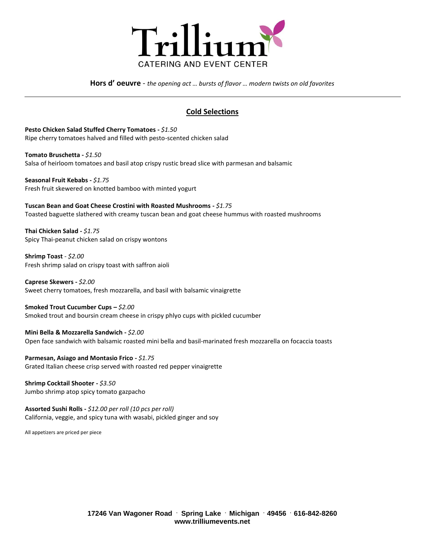

**Hors d' oeuvre** - *the opening act … bursts of flavor … modern twists on old favorites*

# **Cold Selections**

**Pesto Chicken Salad Stuffed Cherry Tomatoes -** *\$1.50* Ripe cherry tomatoes halved and filled with pesto-scented chicken salad

**Tomato Bruschetta -** *\$1.50* Salsa of heirloom tomatoes and basil atop crispy rustic bread slice with parmesan and balsamic

**Seasonal Fruit Kebabs -** *\$1.75*  Fresh fruit skewered on knotted bamboo with minted yogurt

**Tuscan Bean and Goat Cheese Crostini with Roasted Mushrooms -** *\$1.75* Toasted baguette slathered with creamy tuscan bean and goat cheese hummus with roasted mushrooms

**Thai Chicken Salad -** *\$1.75* Spicy Thai-peanut chicken salad on crispy wontons

**Shrimp Toast** - *\$2.00* Fresh shrimp salad on crispy toast with saffron aioli

**Caprese Skewers -** *\$2.00*  Sweet cherry tomatoes, fresh mozzarella, and basil with balsamic vinaigrette

**Smoked Trout Cucumber Cups –** *\$2.00*  Smoked trout and boursin cream cheese in crispy phlyo cups with pickled cucumber

**Mini Bella & Mozzarella Sandwich -** *\$2.00* Open face sandwich with balsamic roasted mini bella and basil-marinated fresh mozzarella on focaccia toasts

**Parmesan, Asiago and Montasio Frico -** *\$1.75* Grated Italian cheese crisp served with roasted red pepper vinaigrette

**Shrimp Cocktail Shooter -** *\$3.50*  Jumbo shrimp atop spicy tomato gazpacho

**Assorted Sushi Rolls -** *\$12.00 per roll (10 pcs per roll)* California, veggie, and spicy tuna with wasabi, pickled ginger and soy

All appetizers are priced per piece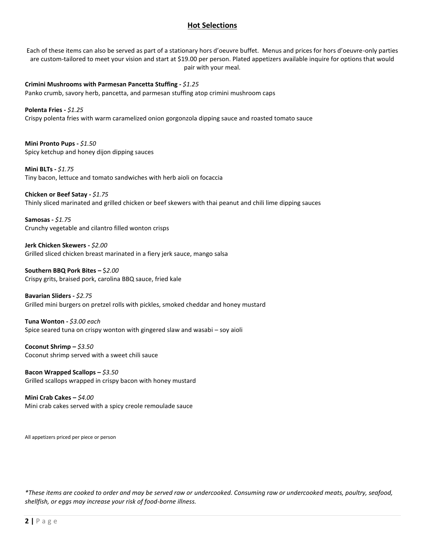# **Hot Selections**

Each of these items can also be served as part of a stationary hors d'oeuvre buffet. Menus and prices for hors d'oeuvre-only parties are custom-tailored to meet your vision and start at \$19.00 per person. Plated appetizers available inquire for options that would pair with your meal.

**Crimini Mushrooms with Parmesan Pancetta Stuffing -** *\$1.25*  Panko crumb, savory herb, pancetta, and parmesan stuffing atop crimini mushroom caps

**Polenta Fries -** *\$1.25* Crispy polenta fries with warm caramelized onion gorgonzola dipping sauce and roasted tomato sauce

**Mini Pronto Pups -** *\$1.50* Spicy ketchup and honey dijon dipping sauces

**Mini BLTs -** *\$1.75*  Tiny bacon, lettuce and tomato sandwiches with herb aioli on focaccia

**Chicken or Beef Satay -** *\$1.75* Thinly sliced marinated and grilled chicken or beef skewers with thai peanut and chili lime dipping sauces

**Samosas -** *\$1.75* Crunchy vegetable and cilantro filled wonton crisps

**Jerk Chicken Skewers -** *\$2.00*  Grilled sliced chicken breast marinated in a fiery jerk sauce, mango salsa

**Southern BBQ Pork Bites –** \$*2.00* Crispy grits, braised pork, carolina BBQ sauce, fried kale

**Bavarian Sliders -** *\$2.75* Grilled mini burgers on pretzel rolls with pickles, smoked cheddar and honey mustard

**Tuna Wonton -** *\$3.00 each* Spice seared tuna on crispy wonton with gingered slaw and wasabi – soy aioli

**Coconut Shrimp –** *\$3.50* Coconut shrimp served with a sweet chili sauce

**Bacon Wrapped Scallops –** *\$3.50* Grilled scallops wrapped in crispy bacon with honey mustard

**Mini Crab Cakes –** *\$4.00* Mini crab cakes served with a spicy creole remoulade sauce

All appetizers priced per piece or person

*\*These items are cooked to order and may be served raw or undercooked. Consuming raw or undercooked meats, poultry, seafood, shellfish, or eggs may increase your risk of food-borne illness.*